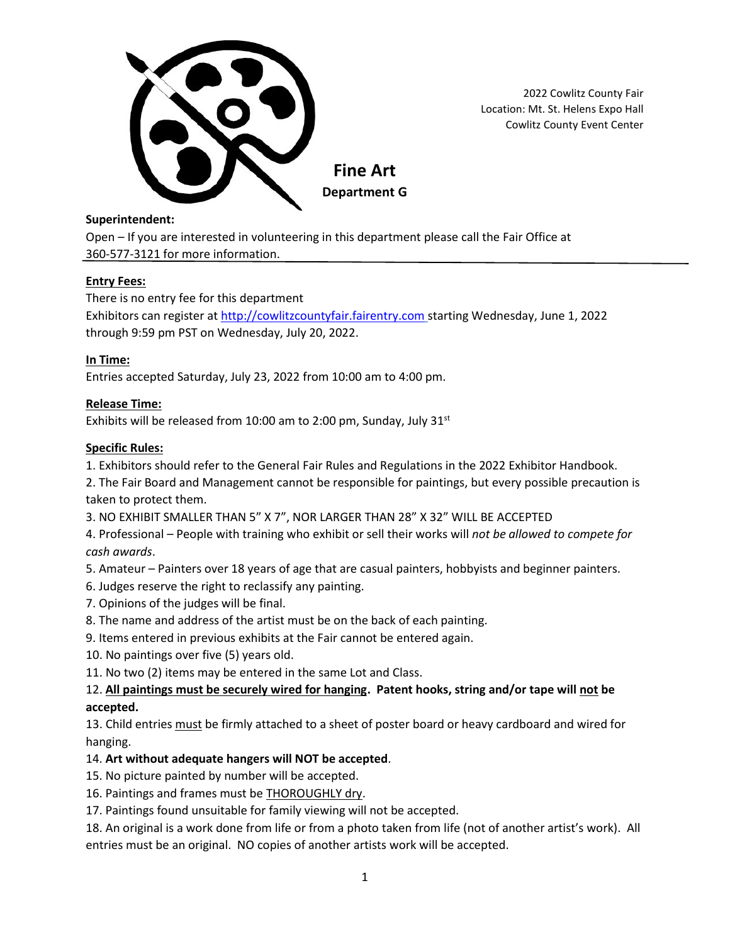

**Department G**

2022 Cowlitz County Fair

Location: Mt. St. Helens Expo Hall Cowlitz County Event Center

#### **Superintendent:**

Open – If you are interested in volunteering in this department please call the Fair Office at 360-577-3121 for more information.

# **Entry Fees:**

There is no entry fee for this department

Exhibitors can register at [http://cowlitzcountyfair.fairentry.com](http://cowlitzcountyfair.fairentry.com/) starting Wednesday, June 1, 2022 through 9:59 pm PST on Wednesday, July 20, 2022.

# **In Time:**

Entries accepted Saturday, July 23, 2022 from 10:00 am to 4:00 pm.

# **Release Time:**

Exhibits will be released from 10:00 am to 2:00 pm, Sunday, July  $31<sup>st</sup>$ 

# **Specific Rules:**

1. Exhibitors should refer to the General Fair Rules and Regulations in the 2022 Exhibitor Handbook.

2. The Fair Board and Management cannot be responsible for paintings, but every possible precaution is taken to protect them.

3. NO EXHIBIT SMALLER THAN 5" X 7", NOR LARGER THAN 28" X 32" WILL BE ACCEPTED

4. Professional – People with training who exhibit or sell their works will *not be allowed to compete for cash awards*.

5. Amateur – Painters over 18 years of age that are casual painters, hobbyists and beginner painters.

6. Judges reserve the right to reclassify any painting.

7. Opinions of the judges will be final.

8. The name and address of the artist must be on the back of each painting.

9. Items entered in previous exhibits at the Fair cannot be entered again.

10. No paintings over five (5) years old.

11. No two (2) items may be entered in the same Lot and Class.

# 12. **All paintings must be securely wired for hanging. Patent hooks, string and/or tape will not be**

# **accepted.**

13. Child entries must be firmly attached to a sheet of poster board or heavy cardboard and wired for hanging.

# 14. **Art without adequate hangers will NOT be accepted**.

15. No picture painted by number will be accepted.

16. Paintings and frames must be THOROUGHLY dry.

17. Paintings found unsuitable for family viewing will not be accepted.

18. An original is a work done from life or from a photo taken from life (not of another artist's work). All entries must be an original. NO copies of another artists work will be accepted.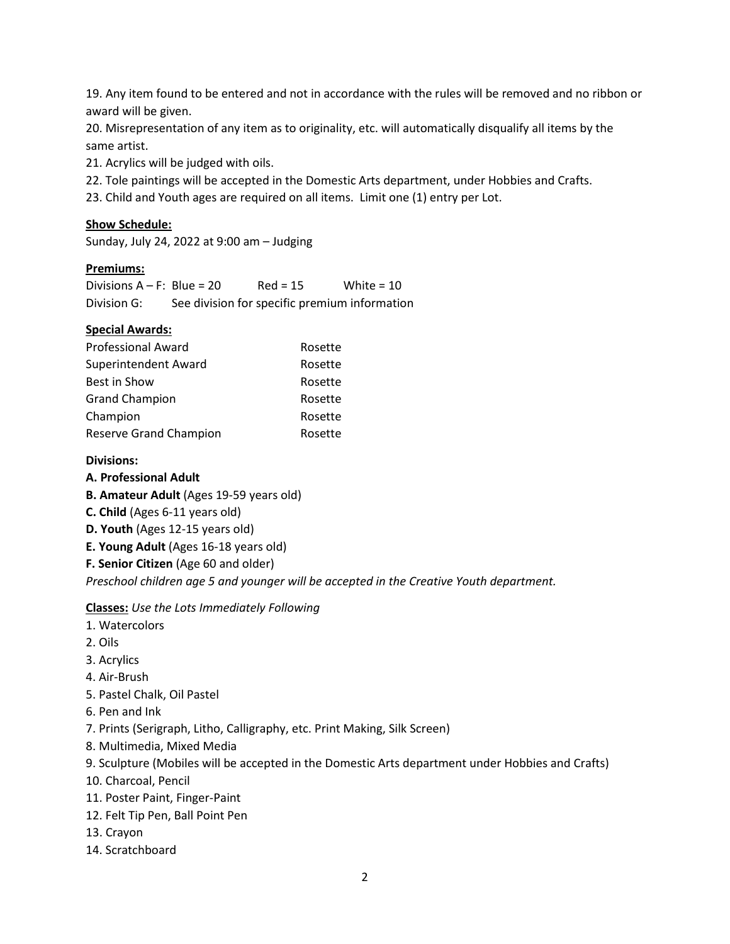19. Any item found to be entered and not in accordance with the rules will be removed and no ribbon or award will be given.

20. Misrepresentation of any item as to originality, etc. will automatically disqualify all items by the same artist.

21. Acrylics will be judged with oils.

- 22. Tole paintings will be accepted in the Domestic Arts department, under Hobbies and Crafts.
- 23. Child and Youth ages are required on all items. Limit one (1) entry per Lot.

#### **Show Schedule:**

Sunday, July 24, 2022 at 9:00 am – Judging

#### **Premiums:**

Divisions  $A - F$ : Blue = 20 Red = 15 White = 10 Division G: See division for specific premium information

#### **Special Awards:**

| <b>Professional Award</b> | Rosette |
|---------------------------|---------|
| Superintendent Award      | Rosette |
| Best in Show              | Rosette |
| <b>Grand Champion</b>     | Rosette |
| Champion                  | Rosette |
| Reserve Grand Champion    | Rosette |

#### **Divisions:**

#### **A. Professional Adult**

**B. Amateur Adult** (Ages 19-59 years old)

**C. Child** (Ages 6-11 years old)

**D. Youth** (Ages 12-15 years old)

**E. Young Adult** (Ages 16-18 years old)

**F. Senior Citizen** (Age 60 and older)

*Preschool children age 5 and younger will be accepted in the Creative Youth department.*

**Classes:** *Use the Lots Immediately Following*

- 1. Watercolors
- 2. Oils
- 3. Acrylics
- 4. Air-Brush
- 5. Pastel Chalk, Oil Pastel
- 6. Pen and Ink
- 7. Prints (Serigraph, Litho, Calligraphy, etc. Print Making, Silk Screen)
- 8. Multimedia, Mixed Media
- 9. Sculpture (Mobiles will be accepted in the Domestic Arts department under Hobbies and Crafts)
- 10. Charcoal, Pencil
- 11. Poster Paint, Finger-Paint
- 12. Felt Tip Pen, Ball Point Pen
- 13. Crayon
- 14. Scratchboard